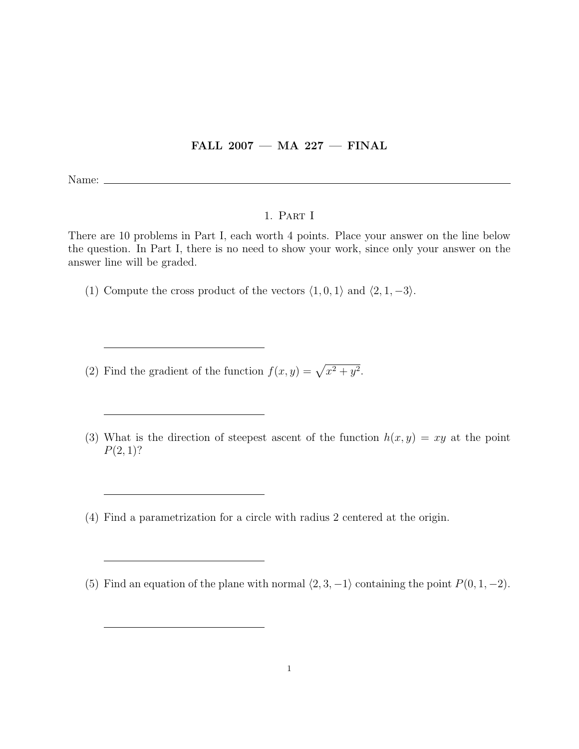## FALL  $2007$  – MA  $227$  – FINAL

Name:

## 1. Part I

There are 10 problems in Part I, each worth 4 points. Place your answer on the line below the question. In Part I, there is no need to show your work, since only your answer on the answer line will be graded.

(1) Compute the cross product of the vectors  $\langle 1, 0, 1 \rangle$  and  $\langle 2, 1, -3 \rangle$ .

(2) Find the gradient of the function  $f(x, y) = \sqrt{x^2 + y^2}$ .

- (3) What is the direction of steepest ascent of the function  $h(x, y) = xy$  at the point  $P(2, 1)$ ?
- (4) Find a parametrization for a circle with radius 2 centered at the origin.
- (5) Find an equation of the plane with normal  $\langle 2, 3, -1 \rangle$  containing the point  $P(0, 1, -2)$ .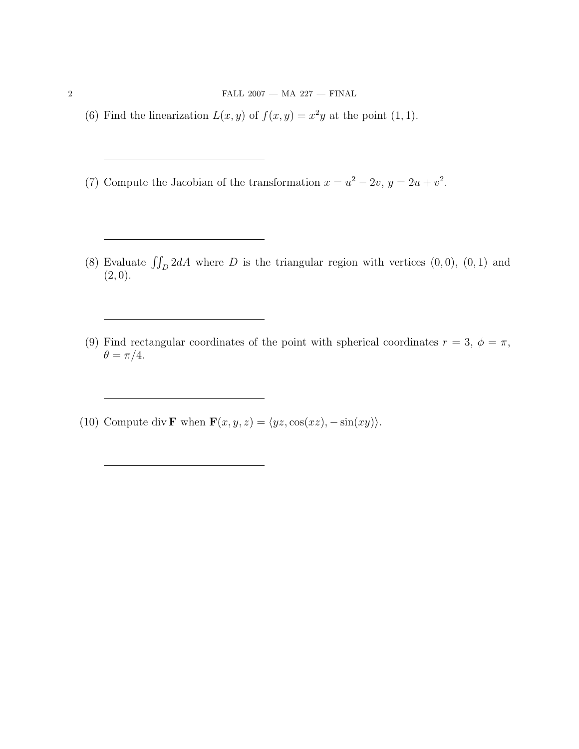- (6) Find the linearization  $L(x, y)$  of  $f(x, y) = x^2y$  at the point (1, 1).
- (7) Compute the Jacobian of the transformation  $x = u^2 2v$ ,  $y = 2u + v^2$ .
- (8) Evaluate  $\iint_D 2dA$  where D is the triangular region with vertices  $(0, 0)$ ,  $(0, 1)$  and  $(2, 0).$
- (9) Find rectangular coordinates of the point with spherical coordinates  $r = 3$ ,  $\phi = \pi$ ,  $\theta = \pi/4.$
- (10) Compute div **F** when  $\mathbf{F}(x, y, z) = \langle yz, \cos(xz), -\sin(xy) \rangle$ .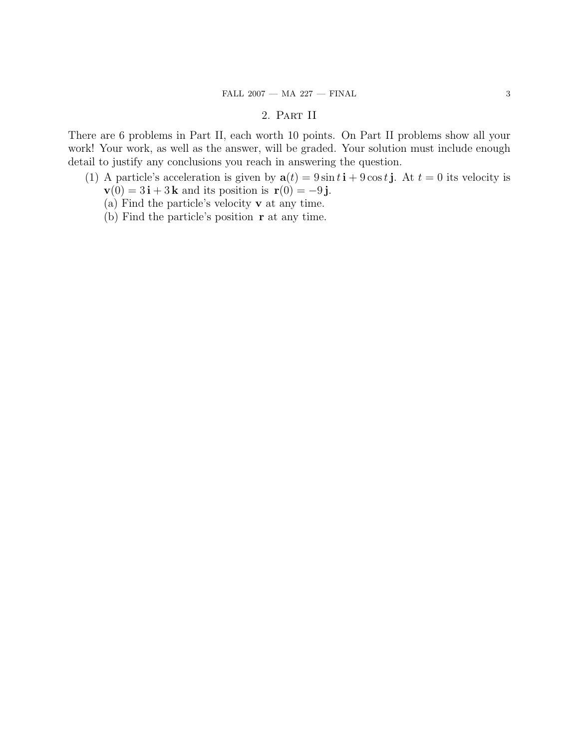## $\textrm{FALL 2007} \xrightarrow{} \textrm{MA 227} \xrightarrow{} \textrm{FINAL} \xrightarrow{} \textrm{3}$

## 2. Part II

There are 6 problems in Part II, each worth 10 points. On Part II problems show all your work! Your work, as well as the answer, will be graded. Your solution must include enough detail to justify any conclusions you reach in answering the question.

- (1) A particle's acceleration is given by  $\mathbf{a}(t) = 9 \sin t \mathbf{i} + 9 \cos t \mathbf{j}$ . At  $t = 0$  its velocity is  $\mathbf{v}(0) = 3\mathbf{i} + 3\mathbf{k}$  and its position is  $\mathbf{r}(0) = -9\mathbf{j}$ .
	- (a) Find the particle's velocity v at any time.
	- (b) Find the particle's position r at any time.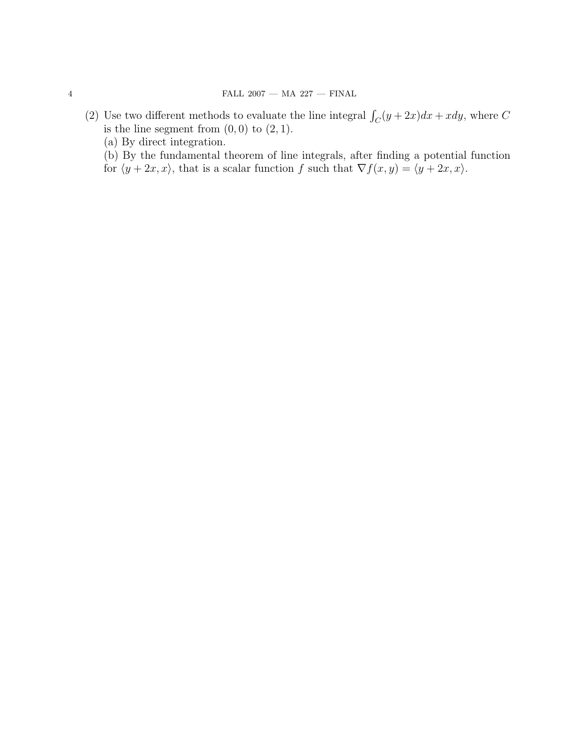- (2) Use two different methods to evaluate the line integral  $\int_C (y + 2x) dx + x dy$ , where C is the line segment from  $(0, 0)$  to  $(2, 1)$ .
	- (a) By direct integration.

(b) By the fundamental theorem of line integrals, after finding a potential function

for  $\langle y + 2x, x \rangle$ , that is a scalar function f such that  $\nabla f(x, y) = \langle y + 2x, x \rangle$ .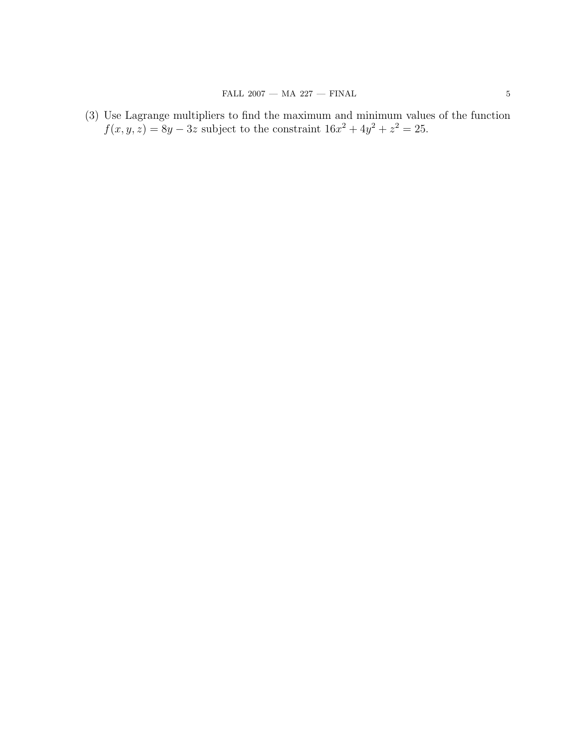(3) Use Lagrange multipliers to find the maximum and minimum values of the function  $f(x, y, z) = 8y - 3z$  subject to the constraint  $16x^2 + 4y^2 + z^2 = 25$ .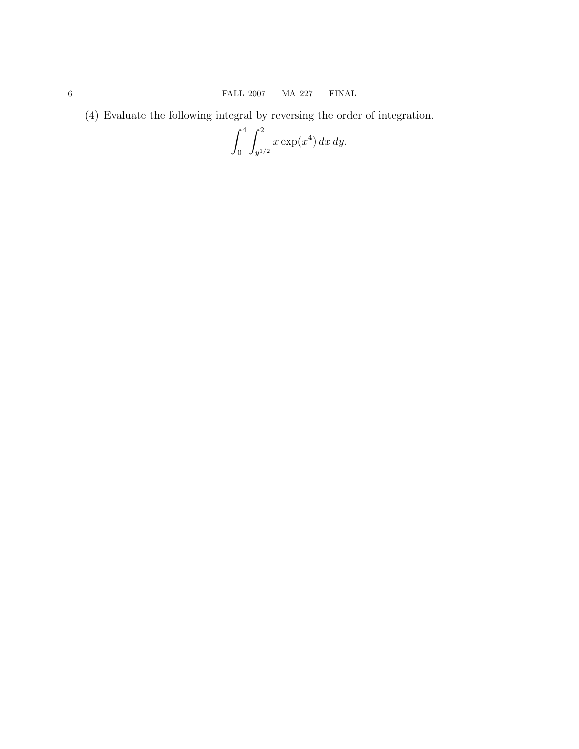(4) Evaluate the following integral by reversing the order of integration.

$$
\int_0^4 \int_{y^{1/2}}^2 x \exp(x^4) \, dx \, dy.
$$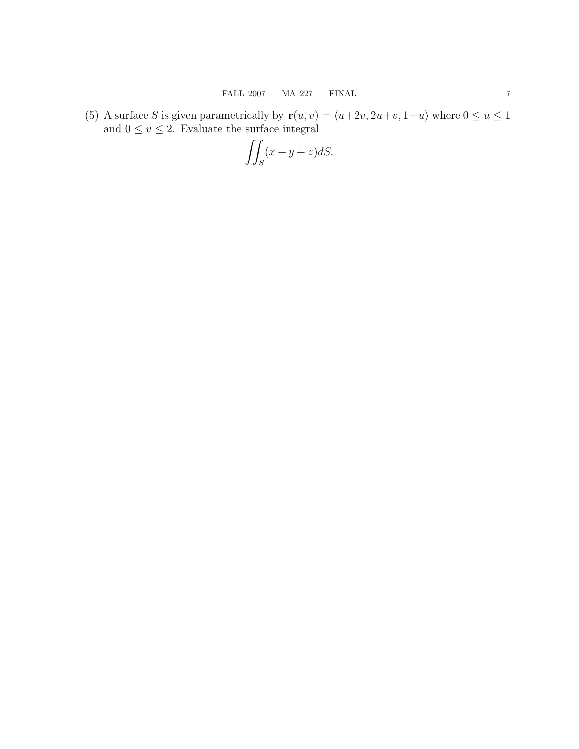(5) A surface S is given parametrically by  $\mathbf{r}(u, v) = \langle u+2v, 2u+v, 1-u \rangle$  where  $0 \le u \le 1$ and  $0 \le v \le 2$ . Evaluate the surface integral

$$
\iint_S (x+y+z)dS.
$$